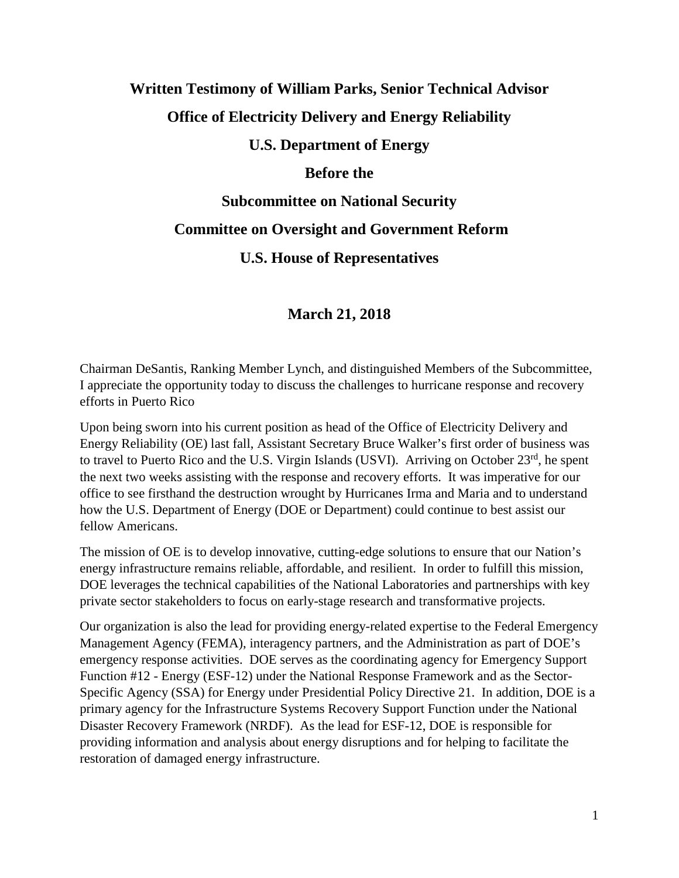# **Written Testimony of William Parks, Senior Technical Advisor**

## **Office of Electricity Delivery and Energy Reliability**

#### **U.S. Department of Energy**

#### **Before the**

## **Subcommittee on National Security**

### **Committee on Oversight and Government Reform**

## **U.S. House of Representatives**

## **March 21, 2018**

Chairman DeSantis, Ranking Member Lynch, and distinguished Members of the Subcommittee, I appreciate the opportunity today to discuss the challenges to hurricane response and recovery efforts in Puerto Rico

Upon being sworn into his current position as head of the Office of Electricity Delivery and Energy Reliability (OE) last fall, Assistant Secretary Bruce Walker's first order of business was to travel to Puerto Rico and the U.S. Virgin Islands (USVI). Arriving on October 23<sup>rd</sup>, he spent the next two weeks assisting with the response and recovery efforts. It was imperative for our office to see firsthand the destruction wrought by Hurricanes Irma and Maria and to understand how the U.S. Department of Energy (DOE or Department) could continue to best assist our fellow Americans.

The mission of OE is to develop innovative, cutting-edge solutions to ensure that our Nation's energy infrastructure remains reliable, affordable, and resilient. In order to fulfill this mission, DOE leverages the technical capabilities of the National Laboratories and partnerships with key private sector stakeholders to focus on early-stage research and transformative projects.

Our organization is also the lead for providing energy-related expertise to the Federal Emergency Management Agency (FEMA), interagency partners, and the Administration as part of DOE's emergency response activities. DOE serves as the coordinating agency for Emergency Support Function #12 - Energy (ESF-12) under the National Response Framework and as the Sector-Specific Agency (SSA) for Energy under Presidential Policy Directive 21. In addition, DOE is a primary agency for the Infrastructure Systems Recovery Support Function under the National Disaster Recovery Framework (NRDF). As the lead for ESF-12, DOE is responsible for providing information and analysis about energy disruptions and for helping to facilitate the restoration of damaged energy infrastructure.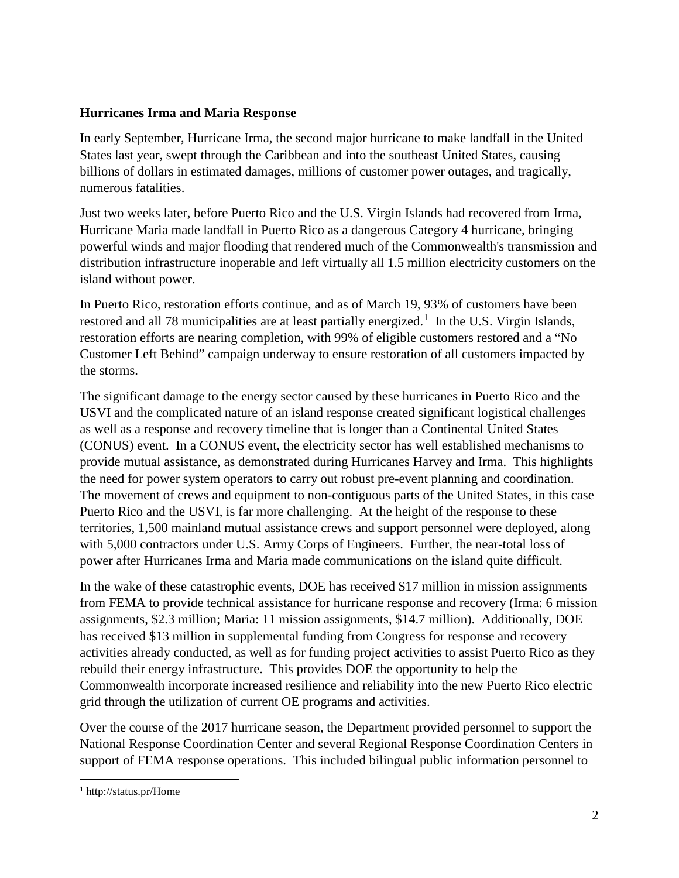#### **Hurricanes Irma and Maria Response**

In early September, Hurricane Irma, the second major hurricane to make landfall in the United States last year, swept through the Caribbean and into the southeast United States, causing billions of dollars in estimated damages, millions of customer power outages, and tragically, numerous fatalities.

Just two weeks later, before Puerto Rico and the U.S. Virgin Islands had recovered from Irma, Hurricane Maria made landfall in Puerto Rico as a dangerous Category 4 hurricane, bringing powerful winds and major flooding that rendered much of the Commonwealth's transmission and distribution infrastructure inoperable and left virtually all 1.5 million electricity customers on the island without power.

In Puerto Rico, restoration efforts continue, and as of March 19, 93% of customers have been restored and all 78 municipalities are at least partially energized.<sup>[1](#page-1-0)</sup> In the U.S. Virgin Islands, restoration efforts are nearing completion, with 99% of eligible customers restored and a "No Customer Left Behind" campaign underway to ensure restoration of all customers impacted by the storms.

The significant damage to the energy sector caused by these hurricanes in Puerto Rico and the USVI and the complicated nature of an island response created significant logistical challenges as well as a response and recovery timeline that is longer than a Continental United States (CONUS) event. In a CONUS event, the electricity sector has well established mechanisms to provide mutual assistance, as demonstrated during Hurricanes Harvey and Irma. This highlights the need for power system operators to carry out robust pre-event planning and coordination. The movement of crews and equipment to non-contiguous parts of the United States, in this case Puerto Rico and the USVI, is far more challenging. At the height of the response to these territories, 1,500 mainland mutual assistance crews and support personnel were deployed, along with 5,000 contractors under U.S. Army Corps of Engineers. Further, the near-total loss of power after Hurricanes Irma and Maria made communications on the island quite difficult.

In the wake of these catastrophic events, DOE has received \$17 million in mission assignments from FEMA to provide technical assistance for hurricane response and recovery (Irma: 6 mission assignments, \$2.3 million; Maria: 11 mission assignments, \$14.7 million). Additionally, DOE has received \$13 million in supplemental funding from Congress for response and recovery activities already conducted, as well as for funding project activities to assist Puerto Rico as they rebuild their energy infrastructure. This provides DOE the opportunity to help the Commonwealth incorporate increased resilience and reliability into the new Puerto Rico electric grid through the utilization of current OE programs and activities.

Over the course of the 2017 hurricane season, the Department provided personnel to support the National Response Coordination Center and several Regional Response Coordination Centers in support of FEMA response operations. This included bilingual public information personnel to

l

<span id="page-1-0"></span><sup>1</sup> http://status.pr/Home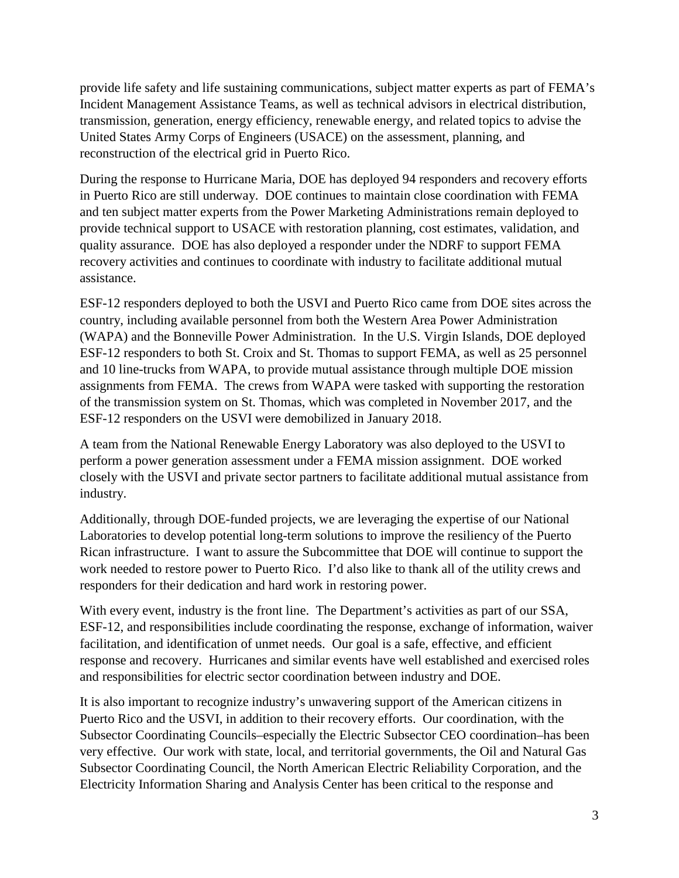provide life safety and life sustaining communications, subject matter experts as part of FEMA's Incident Management Assistance Teams, as well as technical advisors in electrical distribution, transmission, generation, energy efficiency, renewable energy, and related topics to advise the United States Army Corps of Engineers (USACE) on the assessment, planning, and reconstruction of the electrical grid in Puerto Rico.

During the response to Hurricane Maria, DOE has deployed 94 responders and recovery efforts in Puerto Rico are still underway. DOE continues to maintain close coordination with FEMA and ten subject matter experts from the Power Marketing Administrations remain deployed to provide technical support to USACE with restoration planning, cost estimates, validation, and quality assurance. DOE has also deployed a responder under the NDRF to support FEMA recovery activities and continues to coordinate with industry to facilitate additional mutual assistance.

ESF-12 responders deployed to both the USVI and Puerto Rico came from DOE sites across the country, including available personnel from both the Western Area Power Administration (WAPA) and the Bonneville Power Administration. In the U.S. Virgin Islands, DOE deployed ESF-12 responders to both St. Croix and St. Thomas to support FEMA, as well as 25 personnel and 10 line-trucks from WAPA, to provide mutual assistance through multiple DOE mission assignments from FEMA. The crews from WAPA were tasked with supporting the restoration of the transmission system on St. Thomas, which was completed in November 2017, and the ESF-12 responders on the USVI were demobilized in January 2018.

A team from the National Renewable Energy Laboratory was also deployed to the USVI to perform a power generation assessment under a FEMA mission assignment. DOE worked closely with the USVI and private sector partners to facilitate additional mutual assistance from industry.

Additionally, through DOE-funded projects, we are leveraging the expertise of our National Laboratories to develop potential long-term solutions to improve the resiliency of the Puerto Rican infrastructure. I want to assure the Subcommittee that DOE will continue to support the work needed to restore power to Puerto Rico. I'd also like to thank all of the utility crews and responders for their dedication and hard work in restoring power.

With every event, industry is the front line. The Department's activities as part of our SSA, ESF-12, and responsibilities include coordinating the response, exchange of information, waiver facilitation, and identification of unmet needs. Our goal is a safe, effective, and efficient response and recovery. Hurricanes and similar events have well established and exercised roles and responsibilities for electric sector coordination between industry and DOE.

It is also important to recognize industry's unwavering support of the American citizens in Puerto Rico and the USVI, in addition to their recovery efforts. Our coordination, with the Subsector Coordinating Councils–especially the Electric Subsector CEO coordination–has been very effective. Our work with state, local, and territorial governments, the Oil and Natural Gas Subsector Coordinating Council, the North American Electric Reliability Corporation, and the Electricity Information Sharing and Analysis Center has been critical to the response and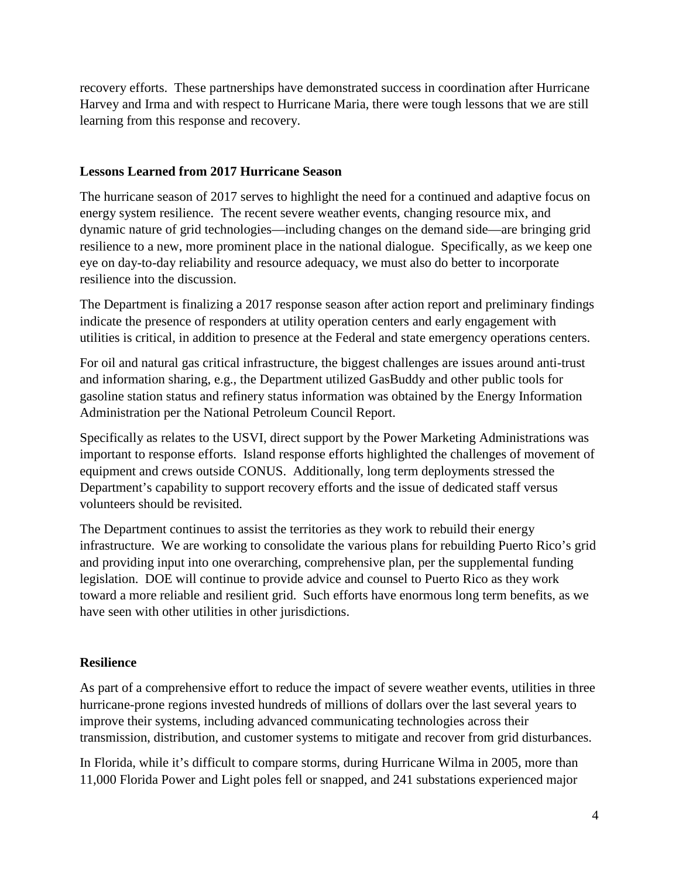recovery efforts. These partnerships have demonstrated success in coordination after Hurricane Harvey and Irma and with respect to Hurricane Maria, there were tough lessons that we are still learning from this response and recovery.

#### **Lessons Learned from 2017 Hurricane Season**

The hurricane season of 2017 serves to highlight the need for a continued and adaptive focus on energy system resilience. The recent severe weather events, changing resource mix, and dynamic nature of grid technologies—including changes on the demand side—are bringing grid resilience to a new, more prominent place in the national dialogue. Specifically, as we keep one eye on day-to-day reliability and resource adequacy, we must also do better to incorporate resilience into the discussion.

The Department is finalizing a 2017 response season after action report and preliminary findings indicate the presence of responders at utility operation centers and early engagement with utilities is critical, in addition to presence at the Federal and state emergency operations centers.

For oil and natural gas critical infrastructure, the biggest challenges are issues around anti-trust and information sharing, e.g., the Department utilized GasBuddy and other public tools for gasoline station status and refinery status information was obtained by the Energy Information Administration per the National Petroleum Council Report.

Specifically as relates to the USVI, direct support by the Power Marketing Administrations was important to response efforts. Island response efforts highlighted the challenges of movement of equipment and crews outside CONUS. Additionally, long term deployments stressed the Department's capability to support recovery efforts and the issue of dedicated staff versus volunteers should be revisited.

The Department continues to assist the territories as they work to rebuild their energy infrastructure. We are working to consolidate the various plans for rebuilding Puerto Rico's grid and providing input into one overarching, comprehensive plan, per the supplemental funding legislation. DOE will continue to provide advice and counsel to Puerto Rico as they work toward a more reliable and resilient grid. Such efforts have enormous long term benefits, as we have seen with other utilities in other jurisdictions.

#### **Resilience**

As part of a comprehensive effort to reduce the impact of severe weather events, utilities in three hurricane-prone regions invested hundreds of millions of dollars over the last several years to improve their systems, including advanced communicating technologies across their transmission, distribution, and customer systems to mitigate and recover from grid disturbances.

In Florida, while it's difficult to compare storms, during Hurricane Wilma in 2005, more than 11,000 Florida Power and Light poles fell or snapped, and 241 substations experienced major